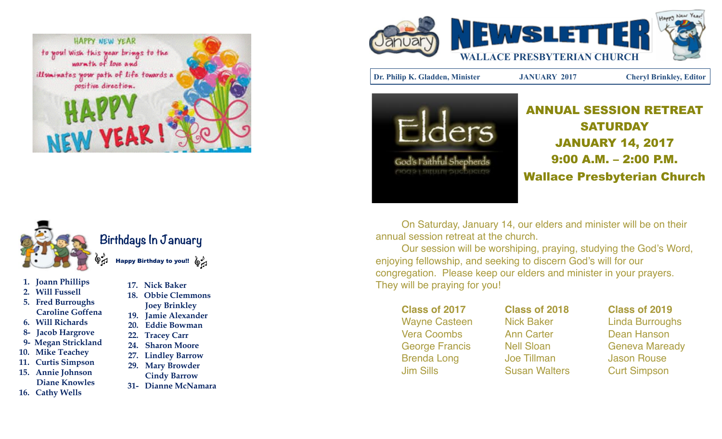



- **1. Joann Phillips**
- **2. Will Fussell**
- **5. Fred Burroughs Caroline Goffena**
- **6. Will Richards**
- **8- Jacob Hargrove**
- **9- Megan Strickland**
- **10. Mike Teachey**
- **11. Curtis Simpson 15. Annie Johnson**
- **Diane Knowles**
- **16. Cathy Wells**
- **17. Nick Baker 18. Obbie Clemmons Joey Brinkley 19. Jamie Alexander 20. Eddie Bowman 22. Tracey Carr 24. Sharon Moore 27. Lindley Barrow 29. Mary Browder**
- **Cindy Barrow**
- **31- Dianne McNamara**



**Dr. Philip K. Gladden, Minister JANUARY 2017 Cheryl Brinkley, Editor**



ANNUAL SESSION RETREAT SATURDAY JANUARY 14, 2017 9:00 A.M. – 2:00 P.M. Wallace Presbyterian Church

On Saturday, January 14, our elders and minister will be on their annual session retreat at the church.

Our session will be worshiping, praying, studying the God's Word, enjoying fellowship, and seeking to discern God's will for our congregation. Please keep our elders and minister in your prayers. They will be praying for you!

**Class of 2017! ! Class of 2018! ! Class of 2019** Wayne Casteen Nick Baker **I** Linda Burroughs Vera Coombs **1988 - Ann Carter** 1988 - Dean Hanson Brenda Long! ! Joe Tillman!! ! Jason Rouse Jim Sills **1. It is strong Susan Walters Curt Simpson** 

George Francis! ! Nell Sloan! ! ! Geneva Maready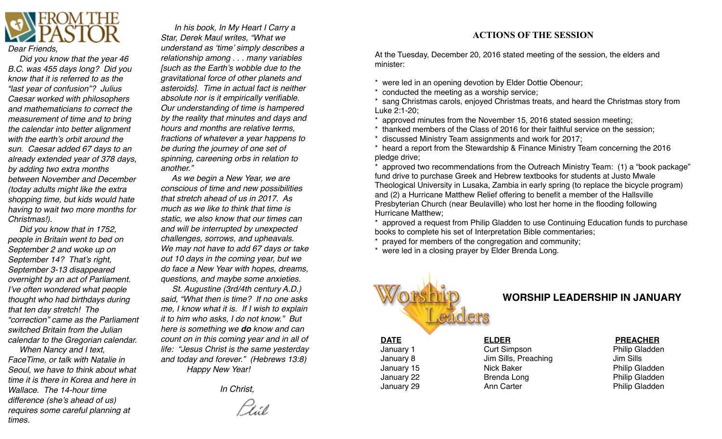

 *Did you know that the year 46 B.C. was 455 days long? Did you know that it is referred to as the "last year of confusion"? Julius Caesar worked with philosophers and mathematicians to correct the measurement of time and to bring the calendar into better alignment with the earth's orbit around the sun. Caesar added 67 days to an already extended year of 378 days, by adding two extra months between November and December (today adults might like the extra shopping time, but kids would hate having to wait two more months for Christmas!).*

 *Did you know that in 1752, people in Britain went to bed on September 2 and woke up on September 14? That's right, September 3-13 disappeared overnight by an act of Parliament. I've often wondered what people thought who had birthdays during that ten day stretch! The "correction" came as the Parliament switched Britain from the Julian calendar to the Gregorian calendar.*

 *When Nancy and I text, FaceTime, or talk with Natalie in Seoul, we have to think about what time it is there in Korea and here in Wallace. The 14-hour time difference (she's ahead of us) requires some careful planning at times.*

 *In his book, In My Heart I Carry a Star, Derek Maul writes, "What we understand as 'time' simply describes a relationship among . . . many variables [such as the Earth's wobble due to the gravitational force of other planets and asteroids]. Time in actual fact is neither absolute nor is it empirically verifiable. Our understanding of time is hampered by the reality that minutes and days and hours and months are relative terms, fractions of whatever a year happens to be during the journey of one set of spinning, careening orbs in relation to another."*

 *As we begin a New Year, we are conscious of time and new possibilities that stretch ahead of us in 2017. As much as we like to think that time is static, we also know that our times can and will be interrupted by unexpected challenges, sorrows, and upheavals. We may not have to add 67 days or take out 10 days in the coming year, but we do face a New Year with hopes, dreams, questions, and maybe some anxieties.*

 *St. Augustine (3rd/4th century A.D.) said, "What then is time? If no one asks me, I know what it is. If I wish to explain it to him who asks, I do not know." But here is something we do know and can count on in this coming year and in all of life: "Jesus Christ is the same yesterday and today and forever." (Hebrews 13:8) Happy New Year!*

 *In Christ,*

#### **ACTIONS OF THE SESSION**

At the Tuesday, December 20, 2016 stated meeting of the session, the elders and minister:

\* were led in an opening devotion by Elder Dottie Obenour;

\* conducted the meeting as a worship service;

sang Christmas carols, enjoyed Christmas treats, and heard the Christmas story from Luke 2:1-20;

\* approved minutes from the November 15, 2016 stated session meeting;

\* thanked members of the Class of 2016 for their faithful service on the session;

\* discussed Ministry Team assignments and work for 2017;

\* heard a report from the Stewardship & Finance Ministry Team concerning the 2016 pledge drive;

approved two recommendations from the Outreach Ministry Team: (1) a "book package" fund drive to purchase Greek and Hebrew textbooks for students at Justo Mwale Theological University in Lusaka, Zambia in early spring (to replace the bicycle program) and (2) a Hurricane Matthew Relief offering to benefit a member of the Hallsville Presbyterian Church (near Beulaville) who lost her home in the flooding following Hurricane Matthew;

approved a request from Philip Gladden to use Continuing Education funds to purchase books to complete his set of Interpretation Bible commentaries;

prayed for members of the congregation and community;

\* were led in a closing prayer by Elder Brenda Long.



### **WORSHIP LEADERSHIP IN JANUARY**

January 1 **1 1 Curt Simpson 1 Curt Simpson 1 Philip Gladden** January 8! ! ! Jim Sills, Preaching! ! ! Jim Sills January 15 **19 Inchestor 19 Inchester** 19 Inchester 19 Inchester 19 Inchester 19 Inchester 19 Inchester 19 Inches January 22 **8** Brenda Long **1999 Brenda Long** Philip Gladden January 29 **19 Inc.** Ann Carter **19 Inc. 20 Inc. 20 Inc. 20 Inc. 20 Inc. 20 Inc. 20 Inc. 20 Inc. 20 Inc. 20 Inc. 20 Inc. 20 Inc. 20 Inc. 20 Inc. 20 Inc. 20 Inc. 20 Inc. 20 Inc. 20 Inc. 20 Inc. 20 Inc. 20 Inc. 20 Inc. 20 In** 

#### **DATE!! ! ! ELDER!!!! PREACHER**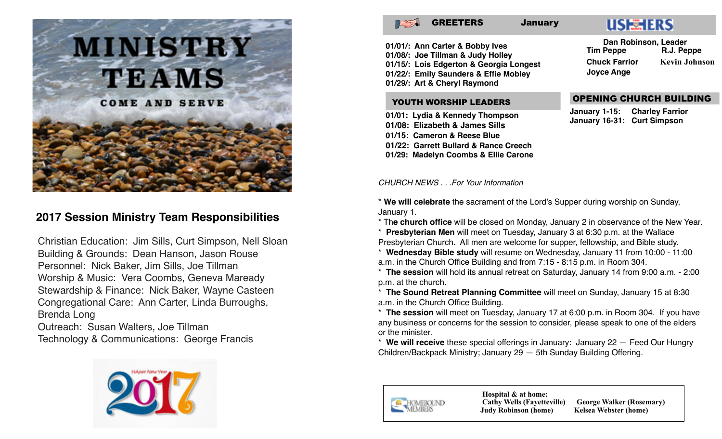

## **2017 Session Ministry Team Responsibilities**

Christian Education: Jim Sills, Curt Simpson, Nell Sloan Building & Grounds: Dean Hanson, Jason Rouse Personnel: Nick Baker, Jim Sills, Joe Tillman Worship & Music: Vera Coombs, Geneva Maready Stewardship & Finance: Nick Baker, Wayne Casteen Congregational Care: Ann Carter, Linda Burroughs, Brenda Long

Outreach: Susan Walters, Joe Tillman Technology & Communications: George Francis





GREETERS January



**01/01/: Ann Carter & Bobby Ives 01/08/: Joe Tillman & Judy Holley 01/15/: Lois Edgerton & Georgia Longest 01/22/: Emily Saunders & Effie Mobley 01/29/: Art & Cheryl Raymond**

#### YOUTH WORSHIP LEADERS

**01/01: Lydia & Kennedy Thompson 01/08: Elizabeth & James Sills 01/15: Cameron & Reese Blue 01/22: Garrett Bullard & Rance Creech 01/29: Madelyn Coombs & Ellie Carone**

 **Dan Robinson, Leader Tim Peppe Chuck Farrior Kevin Johnson Joyce Ange**

#### OPENING CHURCH BUILDING

**January 1-15: Charley Farrior January 16-31: Curt Simpson**

*CHURCH NEWS . . .For Your Information*

\* **We will celebrate** the sacrament of the Lord's Supper during worship on Sunday, January 1.

\* Th**e church office** will be closed on Monday, January 2 in observance of the New Year.

\* **Presbyterian Men** will meet on Tuesday, January 3 at 6:30 p.m. at the Wallace Presbyterian Church. All men are welcome for supper, fellowship, and Bible study.

\* **Wednesday Bible study** will resume on Wednesday, January 11 from 10:00 - 11:00 a.m. in the Church Office Building and from 7:15 - 8:15 p.m. in Room 304.

\* **The session** will hold its annual retreat on Saturday, January 14 from 9:00 a.m. - 2:00 p.m. at the church.

\* **The Sound Retreat Planning Committee** will meet on Sunday, January 15 at 8:30 a.m. in the Church Office Building.

\* **The session** will meet on Tuesday, January 17 at 6:00 p.m. in Room 304. If you have any business or concerns for the session to consider, please speak to one of the elders or the minister.

\* **We will receive** these special offerings in January: January 22 — Feed Our Hungry Children/Backpack Ministry; January 29 — 5th Sunday Building Offering.



 **Hospital & at home: Cathy Wells (Fayetteville) George Walker (Rosemary) Judy Robinson (home)**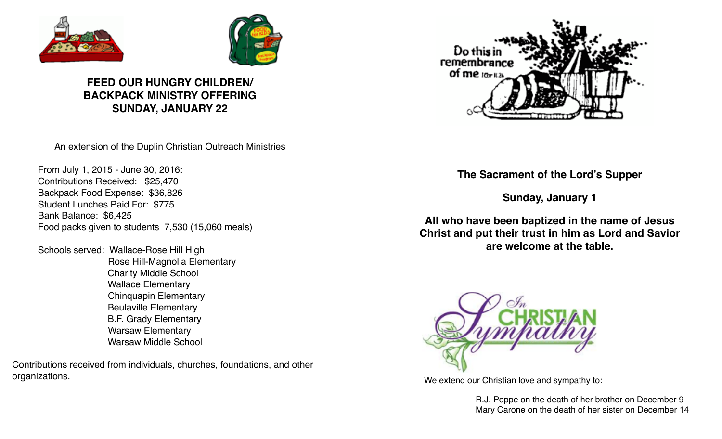



## **FEED OUR HUNGRY CHILDREN/ BACKPACK MINISTRY OFFERING SUNDAY, JANUARY 22**

An extension of the Duplin Christian Outreach Ministries

From July 1, 2015 - June 30, 2016: Contributions Received: \$25,470 Backpack Food Expense: \$36,826 Student Lunches Paid For: \$775 Bank Balance: \$6,425 Food packs given to students 7,530 (15,060 meals)

Schools served: Wallace-Rose Hill High Rose Hill-Magnolia Elementary **Charity Middle School Wallace Elementary**  Chinquapin Elementary! ! **Beulaville Elementary** B.F. Grady Elementary Warsaw Elementary Warsaw Middle School

Contributions received from individuals, churches, foundations, and other organizations. We extend our Christian love and sympathy to:



**The Sacrament of the Lord's Supper**

**Sunday, January 1**

**All who have been baptized in the name of Jesus Christ and put their trust in him as Lord and Savior are welcome at the table.**



R.J. Peppe on the death of her brother on December 9 Mary Carone on the death of her sister on December 14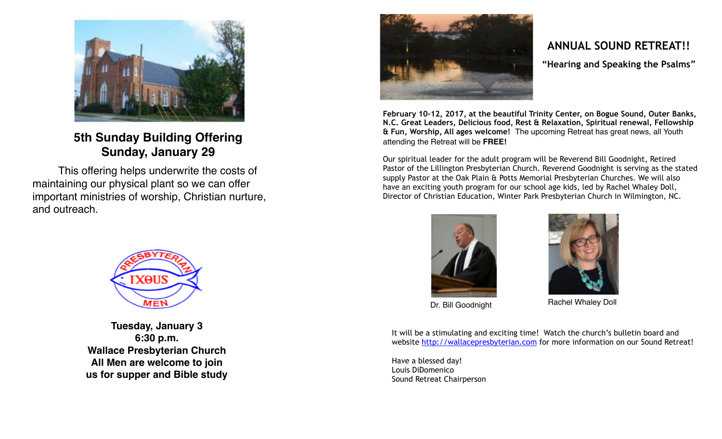

**5th Sunday Building Offering** **Sunday, January 29**

This offering helps underwrite the costs of maintaining our physical plant so we can offer important ministries of worship, Christian nurture, and outreach.



**Tuesday, January 3 6:30 p.m. Wallace Presbyterian Church All Men are welcome to join us for supper and Bible study**



## **ANNUAL SOUND RETREAT!!**

**"Hearing and Speaking the Psalms"**

**February 10-12, 2017, at the beautiful Trinity Center, on Bogue Sound, Outer Banks, N.C. Great Leaders, Delicious food, Rest & Relaxation, Spiritual renewal, Fellowship & Fun, Worship, All ages welcome!** The upcoming Retreat has great news, all Youth attending the Retreat will be **FREE!** 

Our spiritual leader for the adult program will be Reverend Bill Goodnight, Retired Pastor of the Lillington Presbyterian Church. Reverend Goodnight is serving as the stated supply Pastor at the Oak Plain & Potts Memorial Presbyterian Churches. We will also have an exciting youth program for our school age kids, led by Rachel Whaley Doll, Director of Christian Education, Winter Park Presbyterian Church in Wilmington, NC.





Dr. Bill Goodnight Rachel Whaley Doll

It will be a stimulating and exciting time! Watch the church's bulletin board and website<http://wallacepresbyterian.com>for more information on our Sound Retreat!

Have a blessed day! Louis DiDomenico Sound Retreat Chairperson